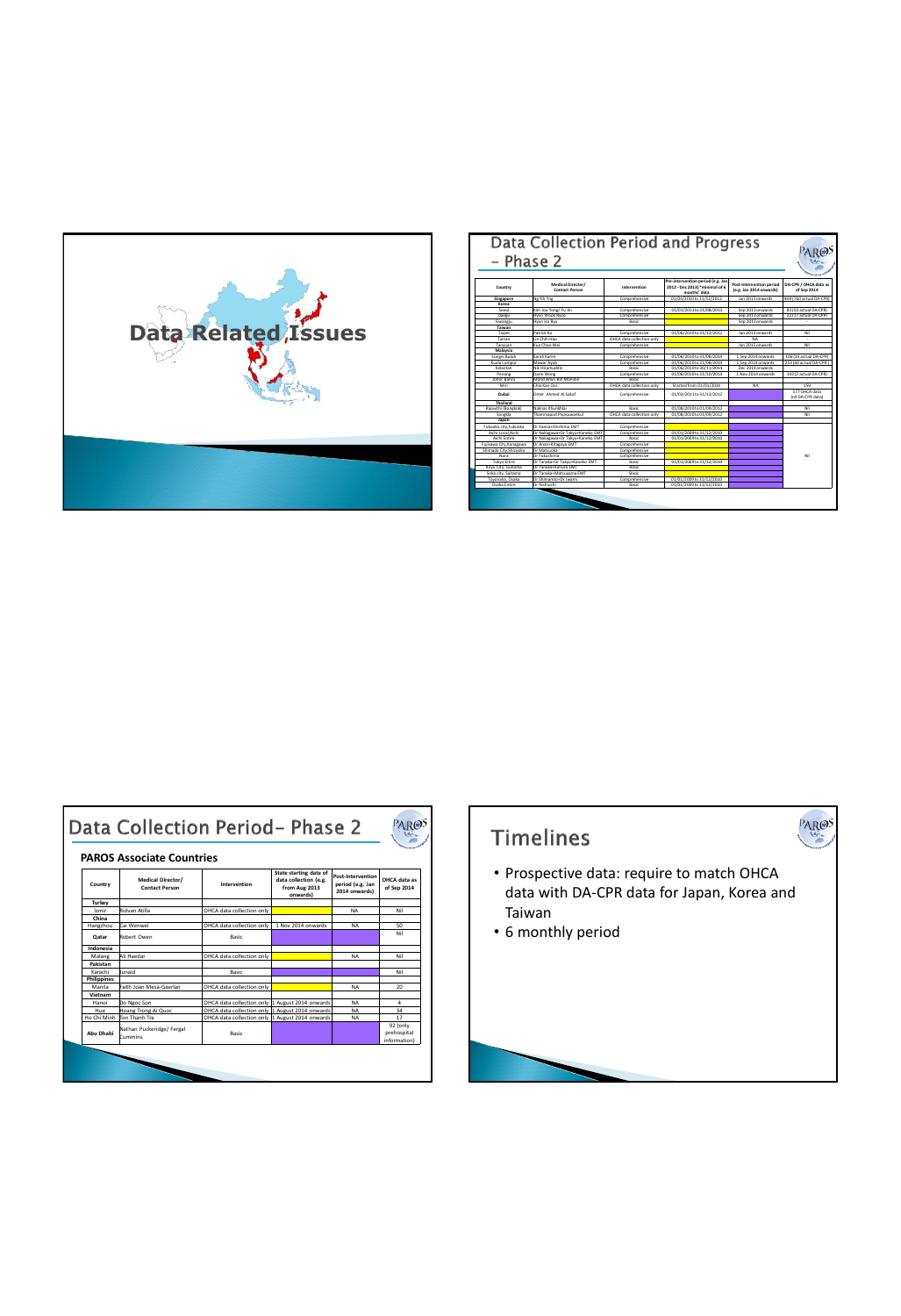

| – Phase 2               | Data Collection Period and Progress |                           |                                                                                     |                                                     |                                      |
|-------------------------|-------------------------------------|---------------------------|-------------------------------------------------------------------------------------|-----------------------------------------------------|--------------------------------------|
| Country                 | Medical Director/<br>Contact Person | Intervention              | Pre-intervention period (e.g. Jan<br>2012 - Dec 2013) *minimal of 6<br>months' data | Post-Intervention period<br>(e.g. Jan 2014 onwards) | DA-CPR / OHCA data as<br>of Sep 2014 |
| Singapore               | Ne Yih Yne                          | Comprehensive             | 01/04/2010 to 31/12/2012                                                            | Jan 2013 onwards                                    | 869 (760 actual DA-CPR)              |
| Korea                   |                                     |                           |                                                                                     |                                                     |                                      |
| Senul                   | Kim Joo Yong/ Yu Jin                | Comprehensive             | 01/01/2011 to 31/08/2013                                                            | Sep 2013 onwards                                    | 83 (50 actual DA-CPR)                |
| Daegu                   | Hyun Wook Rygo                      | Comprehensive             |                                                                                     | Sep 2013 onwards                                    | 22 (17 actual DA-CPR)                |
| Gwanniu                 | Hwin Ho Ryu                         | Radio                     |                                                                                     | Sep 2013 onwards                                    |                                      |
| Taiwan                  |                                     |                           |                                                                                     |                                                     |                                      |
| Tainei                  | Patrick Ko                          | Commethansiva             | 01/06/2010 to 31/12/2012                                                            | Ian 2013 nowants                                    | Nil                                  |
| Tainan                  | Lin Chih-Hao                        | OHCA data collection only |                                                                                     | NA                                                  |                                      |
| Taowaan                 | Kuo Chan-Wei                        | Comprehensive             |                                                                                     | Jan 2015 onwards                                    | Nil                                  |
| Malaysia                |                                     |                           |                                                                                     |                                                     |                                      |
| Sungei Buloh            | Sarah Karim                         | Comprehensive             | 01/06/2010 to 31/08/2014                                                            | 1 Sep 2014 onwards                                  | 106 (14 actual DA-CPR)               |
| Kuala Lumour            | Mawar Ayub                          | Comprehensive             | 01/06/2010 to 31/08/2014                                                            | 1 Sep 2014 onwards                                  | 253 (60 actual DA-CPR)               |
| Kelantan                | Nik Hicamutriin                     | Radio                     | 01/06/2010 to 30/11/2014                                                            | Dec 2014 onwards                                    |                                      |
| Penang                  | Darin Wong                          | Comprehensive             | 01/06/2010 to 31/10/2014                                                            | 1 Nov 2014 onwards                                  | 143 (2 actual DA-CPR)                |
| <b>Inhor Bahru</b>      | Mohd Amin Bin Mohidin               | Radio                     |                                                                                     |                                                     |                                      |
| Miri                    | Chia Kan Ooi                        | OHCA data collection only | Started from 01/01/2014                                                             | NA                                                  | 159                                  |
| Duhai                   | Dropr Ahmed Al Sakaf                | Comprehensive             | 01/03/2011 to 31/12/2012                                                            |                                                     | S77 OHCA data<br>(nil DA-CPR data)   |
| <b>Thailand</b>         |                                     |                           |                                                                                     |                                                     |                                      |
| Rajavithi (Bangkok)     | Nalinas Khunkhlai                   | Radio                     | 01/08/2010 to 01/09/2012                                                            |                                                     | N <sub>0</sub>                       |
| Sonakla                 | Thammapad Pivasuwankul              | OHCA data collection only | 01/08/2010 to 01/09/2012                                                            |                                                     | N <sub>0</sub>                       |
| Japan                   |                                     |                           |                                                                                     |                                                     |                                      |
| Fukuoka city.Fukuoka    | Dr Kanna+Shichima FMT               | Comprehensive             |                                                                                     |                                                     |                                      |
| Aichi Local Aichi       | Dr Nakazawa+Dr Takyu+Kaneko EMT     | Comprehensive             | 01/01/2009 to 31/12/2010                                                            |                                                     |                                      |
| Aichi Fotire            | Dr Nakazawa+Dr Takyu+Kaneko EMT     | Radio                     | 01/01/2009 to 31/12/2010                                                            |                                                     |                                      |
| Fujisawa City, Kanagawa | Dr Anan+Kitazova EMT                | Commethansiva             |                                                                                     |                                                     |                                      |
| Shimada City, Shizuoka  | Dr Matsuoka                         | Comprehensive             |                                                                                     |                                                     |                                      |
| Nara                    | Dr Fulnishima                       | Comprehensive             |                                                                                     |                                                     | Nil                                  |
| Tokyo Eitire            | Dr Tanaka+Dr Takyu+Kaneko EMT       | Basic                     | 01/01/2009 to 31/12/2010                                                            |                                                     |                                      |
| Kirvu City, Gunnma      | Dr Tanaka+Kimura EMT                | Radio                     |                                                                                     |                                                     |                                      |
| Soka city, Saltama      | Dr Tanaka+Matsuvama EMT             | Radio                     |                                                                                     |                                                     |                                      |
| Toyonaka, Osaka         | Dr Shimamto+Dr Iwami                | Comprehensive             | 01/01/2009 to 31/12/2010                                                            |                                                     |                                      |
| Osaka Entire            | Dr Nishiuchi                        | Basic                     | 01/01/2009 to 31/12/2010                                                            |                                                     |                                      |
|                         |                                     |                           |                                                                                     |                                                     |                                      |

|                    | <b>PAROS Associate Countries</b>                  |                                                 |                                                                              |                                                        |                                         |
|--------------------|---------------------------------------------------|-------------------------------------------------|------------------------------------------------------------------------------|--------------------------------------------------------|-----------------------------------------|
| Country            | <b>Medical Director/</b><br><b>Contact Person</b> | Intervention                                    | State starting date of<br>data collection (e.g.<br>from Aug 2013<br>onwards) | Post-Intervention<br>period (e.g. Jan<br>2014 onwards) | OHCA data as<br>of Sep 2014             |
| Turkey             |                                                   |                                                 |                                                                              |                                                        |                                         |
| Izmir              | Ridvan Atilla                                     | OHCA data collection only                       |                                                                              | <b>NA</b>                                              | Nil                                     |
| China              |                                                   |                                                 |                                                                              |                                                        |                                         |
| Hanezhou           | Cai Wenwei                                        | OHCA data collection only                       | 1 Nov 2014 onwards                                                           | <b>NA</b>                                              | 50                                      |
| Oatar              | Robert Owen                                       | Rasic                                           |                                                                              |                                                        | Nil                                     |
| Indonesia          |                                                   |                                                 |                                                                              |                                                        |                                         |
| Malang             | Ali Haedar                                        | OHCA data collection only                       |                                                                              | <b>NA</b>                                              | Nil                                     |
| Pakistan           |                                                   |                                                 |                                                                              |                                                        |                                         |
| Karachi            | Junaid                                            | Basic                                           |                                                                              |                                                        | Nil                                     |
| <b>Philippines</b> |                                                   |                                                 |                                                                              |                                                        |                                         |
| Manila             | Faith Joan Mesa-Gaerlan                           | OHCA data collection only                       |                                                                              | <b>NA</b>                                              | 20                                      |
| Vietnam            |                                                   |                                                 |                                                                              |                                                        |                                         |
| Hanoi              | Do Neoc Son                                       | OHCA data collection only 1 August 2014 onwards |                                                                              | <b>NA</b>                                              | 4                                       |
| Hue                | Hoang Trong Ai Quoc                               | OHCA data collection only 1 August 2014 onwards |                                                                              | <b>NA</b>                                              | 34                                      |
| Ho Chi Minh        | Ton Thanh Tra                                     | OHCA data collection only 1 August 2014 onwards |                                                                              | <b>NA</b>                                              | 17                                      |
| Abu Dhabi          | Nathan Puckeridge/ Fergal<br><b>Cummins</b>       | Rasic                                           |                                                                              |                                                        | 92 (only<br>prehospital<br>information) |

## Timelines

• Prospective data: require to match OHCA data with DA-CPR data for Japan, Korea and Taiwan

PAROS

• 6 monthly period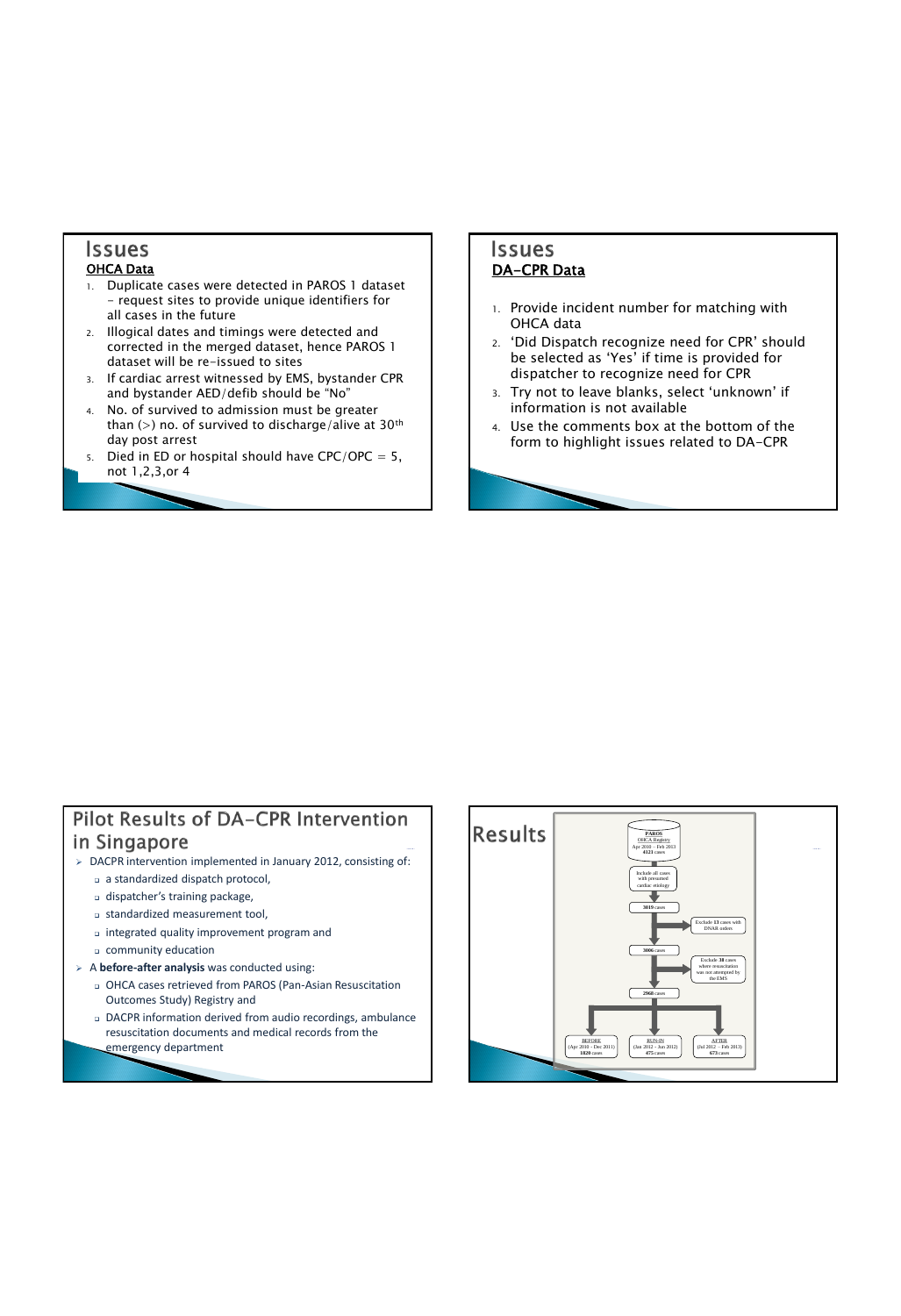## **Issues**

#### OHCA Data

- 1. Duplicate cases were detected in PAROS 1 dataset - request sites to provide unique identifiers for all cases in the future
- 2. Illogical dates and timings were detected and corrected in the merged dataset, hence PAROS 1 dataset will be re-issued to sites
- 3. If cardiac arrest witnessed by EMS, bystander CPR and bystander AED/defib should be "No"
- 4. No. of survived to admission must be greater than (>) no. of survived to discharge/alive at  $30<sup>th</sup>$ day post arrest
- 5. Died in ED or hospital should have  $CPC/OPC = 5$ , not 1,2,3,or 4

#### **Issues** DA-CPR Data

- 1. Provide incident number for matching with OHCA data
- 2. 'Did Dispatch recognize need for CPR' should be selected as 'Yes' if time is provided for dispatcher to recognize need for CPR
- 3. Try not to leave blanks, select 'unknown' if information is not available
- 4. Use the comments box at the bottom of the form to highlight issues related to DA-CPR

### Pilot Results of DA-CPR Intervention in Singapore

- > DACPR intervention implemented in January 2012, consisting of:
	- a standardized dispatch protocol,
	- dispatcher's training package,
	- standardized measurement tool,
	- integrated quality improvement program and
	- community education
- A **before-after analysis** was conducted using:
	- OHCA cases retrieved from PAROS (Pan-Asian Resuscitation Outcomes Study) Registry and
	- DACPR information derived from audio recordings, ambulance resuscitation documents and medical records from the emergency department

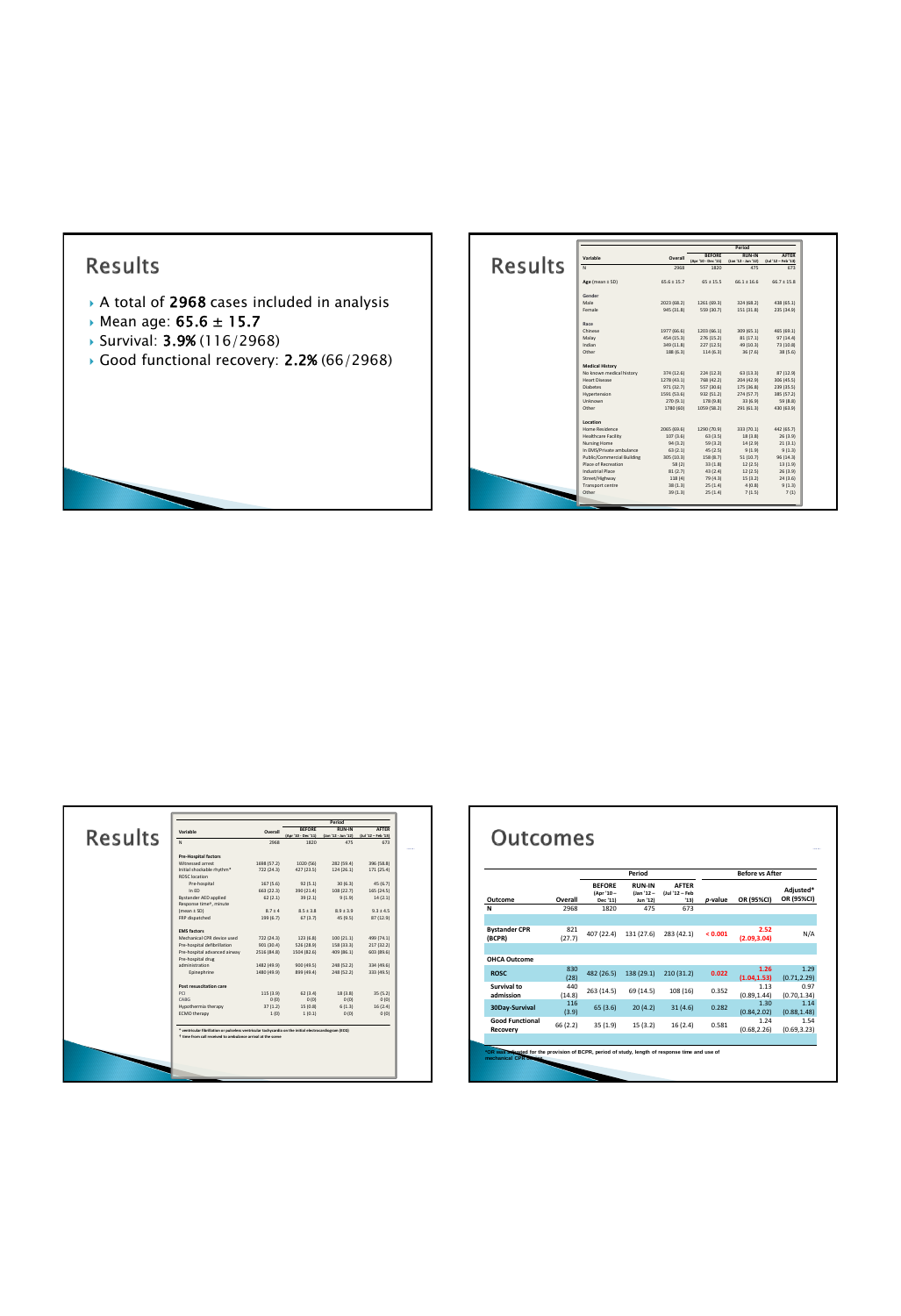## Results

- A total of 2968 cases included in analysis
- Mean age: 65.6 ± 15.7
- Survival: 3.9% (116/2968)
- Good functional recovery: 2.2% (66/2968)

| <b>BEFORE</b><br><b>RUNJN</b><br>Variable<br>Overall<br><b>Results</b><br>(Apr '10 - Dec '11)<br>(Jan '12 - Jun '12)<br>$\overline{N}$<br>2968<br>475<br>1820<br>Age (mean $\pm$ SD)<br>$65.6 \pm 15.7$<br>$65 \pm 15.5$<br>$66.1 \pm 16.6$<br>Gender<br>Male<br>2023 (68.2)<br>1261 (69.3)<br>324 (68.2)<br>Female<br>945 (31.8)<br>559 (30.7)<br>151 (31.8)<br>Race<br>Chinese<br>1977 (66.6)<br>1203 (66.1)<br>309 (65.1)<br>Malav<br>454 (15.3)<br>276 (15.2)<br>81(17.1)<br>Indian<br>349 (11.8)<br>227 (12.5)<br>49 (10.3)<br>Other<br>188 (6.3)<br>114 (6.3)<br>36 (7.6)<br><b>Medical History</b><br>No known medical history<br>374 (12.6)<br>224 (12.3)<br>63 (13.3)<br>Heart Disease<br>1278 (43.1)<br>768 (42.2)<br>204 (42.9)<br><b>Diabetes</b><br>971 (32.7)<br>557 (30.6)<br>175 (36.8)<br>Hypertension<br>1591 (53.6)<br>932 (51.2)<br>274 (57.7)<br>Unknown<br>270 (9.1)<br>178 (9.8)<br>33 (6.9)<br>Other<br>1780 (60)<br>1059 (58.2)<br>291 (61.3)<br>Location<br>Home Residence<br>2065 (69.6)<br>1290 (70.9)<br>333 (70.1)<br>Healthcare Facility<br>107 (3.6)<br>63(3.5)<br>18 (3.8)<br>Nursing Home<br>59 (3.2)<br>14(2.9)<br>94(3.2)<br>In EMS/Private ambulance<br>9(1.9)<br>63(2.1)<br>45(2.5)<br>Public/Commercial Building<br>305 (10.3)<br>158 (8.7)<br>51(10.7)<br>Place of Recreation<br>12(2.5)<br>58(2)<br>33(1.8)<br>Industrial Place<br>81(2.7)<br>43(2.4)<br>12(2.5)<br>Street/Highway<br>118(4)<br>79 (4.3)<br>15(3.2)<br>Transport centre<br>25(1.4)<br>4(0.8)<br>38(1.3)<br>Other<br>39(1.3)<br>25(1.4)<br>7(1.5) |  |  | Period |                                     |
|-----------------------------------------------------------------------------------------------------------------------------------------------------------------------------------------------------------------------------------------------------------------------------------------------------------------------------------------------------------------------------------------------------------------------------------------------------------------------------------------------------------------------------------------------------------------------------------------------------------------------------------------------------------------------------------------------------------------------------------------------------------------------------------------------------------------------------------------------------------------------------------------------------------------------------------------------------------------------------------------------------------------------------------------------------------------------------------------------------------------------------------------------------------------------------------------------------------------------------------------------------------------------------------------------------------------------------------------------------------------------------------------------------------------------------------------------------------------------------------------------------------------------------------------------------------|--|--|--------|-------------------------------------|
| 673<br>$66.7 \pm 15.8$<br>438 (65.1)<br>235 (34.9)<br>465 (69.1)<br>97(14.4)<br>73 (10.8)<br>38 (5.6)<br>87 (12.9)<br>306 (45.5)<br>239 (35.5)<br>385 (57.2)<br>59 (8.8)<br>430 (63.9)<br>442 (65.7)<br>26 (3.9)<br>21(3.1)<br>9(1.3)<br>96(14.3)<br>13(1.9)<br>26 (3.9)<br>24(3.6)<br>9(1.3)<br>7(1)                                                                                                                                                                                                                                                                                                                                                                                                                                                                                                                                                                                                                                                                                                                                                                                                                                                                                                                                                                                                                                                                                                                                                                                                                                                     |  |  |        | <b>AFTER</b><br>$(lul'12 - Feb'13)$ |
|                                                                                                                                                                                                                                                                                                                                                                                                                                                                                                                                                                                                                                                                                                                                                                                                                                                                                                                                                                                                                                                                                                                                                                                                                                                                                                                                                                                                                                                                                                                                                           |  |  |        |                                     |
|                                                                                                                                                                                                                                                                                                                                                                                                                                                                                                                                                                                                                                                                                                                                                                                                                                                                                                                                                                                                                                                                                                                                                                                                                                                                                                                                                                                                                                                                                                                                                           |  |  |        |                                     |
|                                                                                                                                                                                                                                                                                                                                                                                                                                                                                                                                                                                                                                                                                                                                                                                                                                                                                                                                                                                                                                                                                                                                                                                                                                                                                                                                                                                                                                                                                                                                                           |  |  |        |                                     |
|                                                                                                                                                                                                                                                                                                                                                                                                                                                                                                                                                                                                                                                                                                                                                                                                                                                                                                                                                                                                                                                                                                                                                                                                                                                                                                                                                                                                                                                                                                                                                           |  |  |        |                                     |
|                                                                                                                                                                                                                                                                                                                                                                                                                                                                                                                                                                                                                                                                                                                                                                                                                                                                                                                                                                                                                                                                                                                                                                                                                                                                                                                                                                                                                                                                                                                                                           |  |  |        |                                     |
|                                                                                                                                                                                                                                                                                                                                                                                                                                                                                                                                                                                                                                                                                                                                                                                                                                                                                                                                                                                                                                                                                                                                                                                                                                                                                                                                                                                                                                                                                                                                                           |  |  |        |                                     |
|                                                                                                                                                                                                                                                                                                                                                                                                                                                                                                                                                                                                                                                                                                                                                                                                                                                                                                                                                                                                                                                                                                                                                                                                                                                                                                                                                                                                                                                                                                                                                           |  |  |        |                                     |
|                                                                                                                                                                                                                                                                                                                                                                                                                                                                                                                                                                                                                                                                                                                                                                                                                                                                                                                                                                                                                                                                                                                                                                                                                                                                                                                                                                                                                                                                                                                                                           |  |  |        |                                     |
|                                                                                                                                                                                                                                                                                                                                                                                                                                                                                                                                                                                                                                                                                                                                                                                                                                                                                                                                                                                                                                                                                                                                                                                                                                                                                                                                                                                                                                                                                                                                                           |  |  |        |                                     |
|                                                                                                                                                                                                                                                                                                                                                                                                                                                                                                                                                                                                                                                                                                                                                                                                                                                                                                                                                                                                                                                                                                                                                                                                                                                                                                                                                                                                                                                                                                                                                           |  |  |        |                                     |
|                                                                                                                                                                                                                                                                                                                                                                                                                                                                                                                                                                                                                                                                                                                                                                                                                                                                                                                                                                                                                                                                                                                                                                                                                                                                                                                                                                                                                                                                                                                                                           |  |  |        |                                     |
|                                                                                                                                                                                                                                                                                                                                                                                                                                                                                                                                                                                                                                                                                                                                                                                                                                                                                                                                                                                                                                                                                                                                                                                                                                                                                                                                                                                                                                                                                                                                                           |  |  |        |                                     |
|                                                                                                                                                                                                                                                                                                                                                                                                                                                                                                                                                                                                                                                                                                                                                                                                                                                                                                                                                                                                                                                                                                                                                                                                                                                                                                                                                                                                                                                                                                                                                           |  |  |        |                                     |
|                                                                                                                                                                                                                                                                                                                                                                                                                                                                                                                                                                                                                                                                                                                                                                                                                                                                                                                                                                                                                                                                                                                                                                                                                                                                                                                                                                                                                                                                                                                                                           |  |  |        |                                     |
|                                                                                                                                                                                                                                                                                                                                                                                                                                                                                                                                                                                                                                                                                                                                                                                                                                                                                                                                                                                                                                                                                                                                                                                                                                                                                                                                                                                                                                                                                                                                                           |  |  |        |                                     |
|                                                                                                                                                                                                                                                                                                                                                                                                                                                                                                                                                                                                                                                                                                                                                                                                                                                                                                                                                                                                                                                                                                                                                                                                                                                                                                                                                                                                                                                                                                                                                           |  |  |        |                                     |
|                                                                                                                                                                                                                                                                                                                                                                                                                                                                                                                                                                                                                                                                                                                                                                                                                                                                                                                                                                                                                                                                                                                                                                                                                                                                                                                                                                                                                                                                                                                                                           |  |  |        |                                     |
|                                                                                                                                                                                                                                                                                                                                                                                                                                                                                                                                                                                                                                                                                                                                                                                                                                                                                                                                                                                                                                                                                                                                                                                                                                                                                                                                                                                                                                                                                                                                                           |  |  |        |                                     |
|                                                                                                                                                                                                                                                                                                                                                                                                                                                                                                                                                                                                                                                                                                                                                                                                                                                                                                                                                                                                                                                                                                                                                                                                                                                                                                                                                                                                                                                                                                                                                           |  |  |        |                                     |
|                                                                                                                                                                                                                                                                                                                                                                                                                                                                                                                                                                                                                                                                                                                                                                                                                                                                                                                                                                                                                                                                                                                                                                                                                                                                                                                                                                                                                                                                                                                                                           |  |  |        |                                     |
|                                                                                                                                                                                                                                                                                                                                                                                                                                                                                                                                                                                                                                                                                                                                                                                                                                                                                                                                                                                                                                                                                                                                                                                                                                                                                                                                                                                                                                                                                                                                                           |  |  |        |                                     |
|                                                                                                                                                                                                                                                                                                                                                                                                                                                                                                                                                                                                                                                                                                                                                                                                                                                                                                                                                                                                                                                                                                                                                                                                                                                                                                                                                                                                                                                                                                                                                           |  |  |        |                                     |
|                                                                                                                                                                                                                                                                                                                                                                                                                                                                                                                                                                                                                                                                                                                                                                                                                                                                                                                                                                                                                                                                                                                                                                                                                                                                                                                                                                                                                                                                                                                                                           |  |  |        |                                     |
|                                                                                                                                                                                                                                                                                                                                                                                                                                                                                                                                                                                                                                                                                                                                                                                                                                                                                                                                                                                                                                                                                                                                                                                                                                                                                                                                                                                                                                                                                                                                                           |  |  |        |                                     |
|                                                                                                                                                                                                                                                                                                                                                                                                                                                                                                                                                                                                                                                                                                                                                                                                                                                                                                                                                                                                                                                                                                                                                                                                                                                                                                                                                                                                                                                                                                                                                           |  |  |        |                                     |
|                                                                                                                                                                                                                                                                                                                                                                                                                                                                                                                                                                                                                                                                                                                                                                                                                                                                                                                                                                                                                                                                                                                                                                                                                                                                                                                                                                                                                                                                                                                                                           |  |  |        |                                     |
|                                                                                                                                                                                                                                                                                                                                                                                                                                                                                                                                                                                                                                                                                                                                                                                                                                                                                                                                                                                                                                                                                                                                                                                                                                                                                                                                                                                                                                                                                                                                                           |  |  |        |                                     |
|                                                                                                                                                                                                                                                                                                                                                                                                                                                                                                                                                                                                                                                                                                                                                                                                                                                                                                                                                                                                                                                                                                                                                                                                                                                                                                                                                                                                                                                                                                                                                           |  |  |        |                                     |

|                                                                     |             |                                      | Period                              |                                     |
|---------------------------------------------------------------------|-------------|--------------------------------------|-------------------------------------|-------------------------------------|
| Variable<br><b>Results</b>                                          | Overall     | <b>REFORE</b><br>(Apr '10 - Dec '11) | <b>RUNJN</b><br>(Jan '12 - Jun '12) | <b>AFTER</b><br>(Jul '12 - Feb '13) |
| $\overline{M}$                                                      | 2968        | 1820                                 | 475                                 | 673                                 |
| Pre-Hospital factors                                                |             |                                      |                                     |                                     |
| Witnessed arrest                                                    | 1698 (57.2) | 1020 (56)                            | 282 (59.4)                          | 396 (58.8)                          |
| Initial shockable rhythm*<br>ROSC location                          | 722 (24.3)  | 427 (23.5)                           | 124 (26.1)                          | 171 (25.4)                          |
| Pre-hospital                                                        | 167 (5.6)   | 92(5.1)                              | 30(6.3)                             | 45 (6.7)                            |
| In $FD$                                                             | 663 (22.3)  | 390 (21.4)                           | 108 (22.7)                          | 165(24.5)                           |
| <b>Bystander AED applied</b><br>Response time <sup>+</sup> , minute | 62(2.1)     | 39(2.1)                              | 9(1.9)                              | 14(2.1)                             |
| $(mean + SD)$                                                       | $87 + 4$    | $85 + 38$                            | $89 + 39$                           | $93 + 45$                           |
| FRP dispatched                                                      | 199 (6.7)   | 67(3.7)                              | 45 (9.5)                            | 87 (12.9)                           |
| <b>FMS factors</b>                                                  |             |                                      |                                     |                                     |
| Mechanical CPR device used                                          | 722 (24.3)  | 123 (6.8)                            | 100 (21.1)                          | 499 (74.1)                          |
| Pre-hospital defibrillation                                         | 901 (30.4)  | 526 (28.9)                           | 158 (33.3)                          | 217(32.2)                           |
| Pre-hospital advanced airway<br>Pre-hospital drug                   | 2516 (84.8) | 1504 (82.6)                          | 409 (86.1)                          | 603 (89.6)                          |
| administration                                                      | 1482 (49.9) | 900 (49.5)                           | 248 (52.2)                          | 334 (49.6)                          |
| Epinephrine                                                         | 1480 (49.9) | 899 (49.4)                           | 248 (52.2)                          | 333 (49.5)                          |
| Post resuscitation care                                             |             |                                      |                                     |                                     |
| PC1                                                                 | 115 (3.9)   | 62(3.4)                              | 18(3.8)                             | 35(5.2)                             |
| CABG                                                                | 0(0)        | 0(0)                                 | 0(0)                                | 0(0)                                |
| Hypothermia therapy                                                 | 37(1.2)     | 15 (0.8)                             | 6(1.3)                              | 16(2,4)                             |
| <b>ECMO</b> therapy                                                 | 1(0)        | 1(0.1)                               | 0(0)                                | 0(0)                                |

|                                    |               |                                         | Period                                   |                                        |         | <b>Before vs After</b> |                         |
|------------------------------------|---------------|-----------------------------------------|------------------------------------------|----------------------------------------|---------|------------------------|-------------------------|
| Outcome                            | Overall       | <b>BEFORE</b><br>(Apr '10 -<br>Dec '11) | <b>RUN-IN</b><br>$Uan '12 -$<br>Jun '12) | <b>AFTER</b><br>(Jul '12 - Feb<br>'131 | p-value | OR (95%CI)             | Adjusted*<br>OR (95%CI) |
| N                                  | 2968          | 1820                                    | 475                                      | 673                                    |         |                        |                         |
|                                    |               |                                         |                                          |                                        |         |                        |                         |
| <b>Bystander CPR</b><br>(BCPR)     | 821<br>(27.7) | 407 (22.4)                              | 131 (27.6)                               | 283 (42.1)                             | < 0.001 | 2.52<br>(2.09, 3.04)   | N/A                     |
|                                    |               |                                         |                                          |                                        |         |                        |                         |
| OHCA Outcome                       |               |                                         |                                          |                                        |         |                        |                         |
| <b>ROSC</b>                        | 830<br>(28)   | 482 (26.5)                              | 138 (29.1)                               | 210 (31.2)                             | 0.022   | 1.26<br>(1.04, 1.53)   | 1.29<br>(0.71, 2.29)    |
| Survival to<br>admission           | 440<br>(14.8) | 263 (14.5)                              | 69 (14.5)                                | 108 (16)                               | 0.352   | 1.13<br>(0.89.1.44)    | 0.97<br>(0.70, 1.34)    |
| 30Day-Survival                     | 116<br>(3.9)  | 65 (3.6)                                | 20(4.2)                                  | 31(4.6)                                | 0.282   | 1.30<br>(0.84, 2.02)   | 1.14<br>(0.88, 1.48)    |
| <b>Good Functional</b><br>Recovery | 66 (2.2)      | 35(1.9)                                 | 15(3.2)                                  | 16(2.4)                                | 0.581   | 1.24<br>(0.68, 2.26)   | 1.54<br>(0.69, 3.23)    |